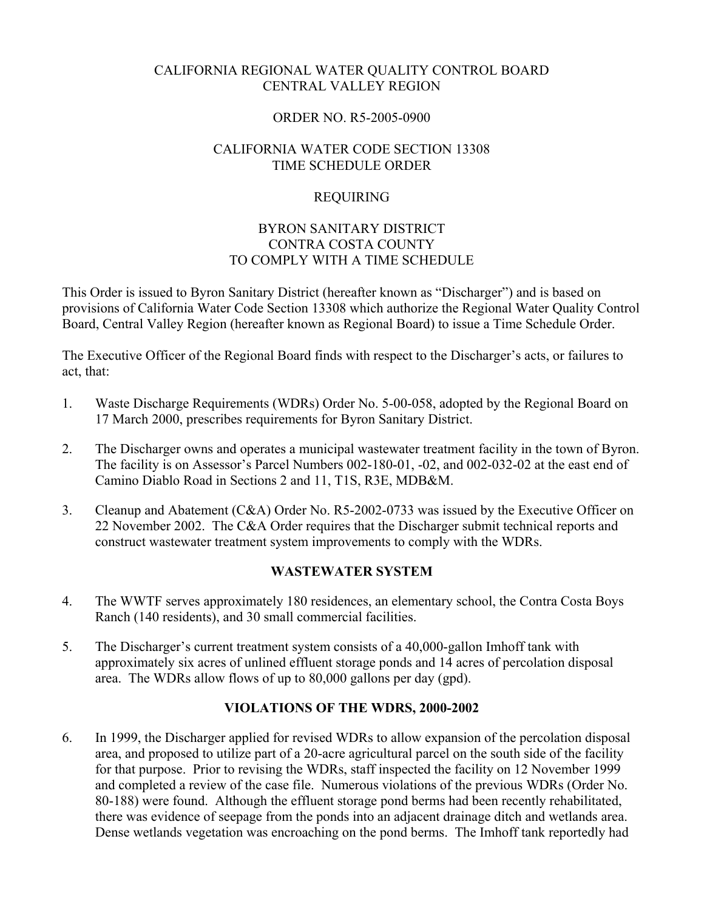### CALIFORNIA REGIONAL WATER QUALITY CONTROL BOARD CENTRAL VALLEY REGION

### ORDER NO. R5-2005-0900

### CALIFORNIA WATER CODE SECTION 13308 TIME SCHEDULE ORDER

# REQUIRING

### BYRON SANITARY DISTRICT CONTRA COSTA COUNTY TO COMPLY WITH A TIME SCHEDULE

This Order is issued to Byron Sanitary District (hereafter known as "Discharger") and is based on provisions of California Water Code Section 13308 which authorize the Regional Water Quality Control Board, Central Valley Region (hereafter known as Regional Board) to issue a Time Schedule Order.

The Executive Officer of the Regional Board finds with respect to the Discharger's acts, or failures to act, that:

- 1. Waste Discharge Requirements (WDRs) Order No. 5-00-058, adopted by the Regional Board on 17 March 2000, prescribes requirements for Byron Sanitary District.
- 2. The Discharger owns and operates a municipal wastewater treatment facility in the town of Byron. The facility is on Assessor's Parcel Numbers 002-180-01, -02, and 002-032-02 at the east end of Camino Diablo Road in Sections 2 and 11, T1S, R3E, MDB&M.
- 3. Cleanup and Abatement (C&A) Order No. R5-2002-0733 was issued by the Executive Officer on 22 November 2002. The C&A Order requires that the Discharger submit technical reports and construct wastewater treatment system improvements to comply with the WDRs.

### **WASTEWATER SYSTEM**

- 4. The WWTF serves approximately 180 residences, an elementary school, the Contra Costa Boys Ranch (140 residents), and 30 small commercial facilities.
- 5. The Discharger's current treatment system consists of a 40,000-gallon Imhoff tank with approximately six acres of unlined effluent storage ponds and 14 acres of percolation disposal area. The WDRs allow flows of up to 80,000 gallons per day (gpd).

### **VIOLATIONS OF THE WDRS, 2000-2002**

6. In 1999, the Discharger applied for revised WDRs to allow expansion of the percolation disposal area, and proposed to utilize part of a 20-acre agricultural parcel on the south side of the facility for that purpose. Prior to revising the WDRs, staff inspected the facility on 12 November 1999 and completed a review of the case file. Numerous violations of the previous WDRs (Order No. 80-188) were found. Although the effluent storage pond berms had been recently rehabilitated, there was evidence of seepage from the ponds into an adjacent drainage ditch and wetlands area. Dense wetlands vegetation was encroaching on the pond berms. The Imhoff tank reportedly had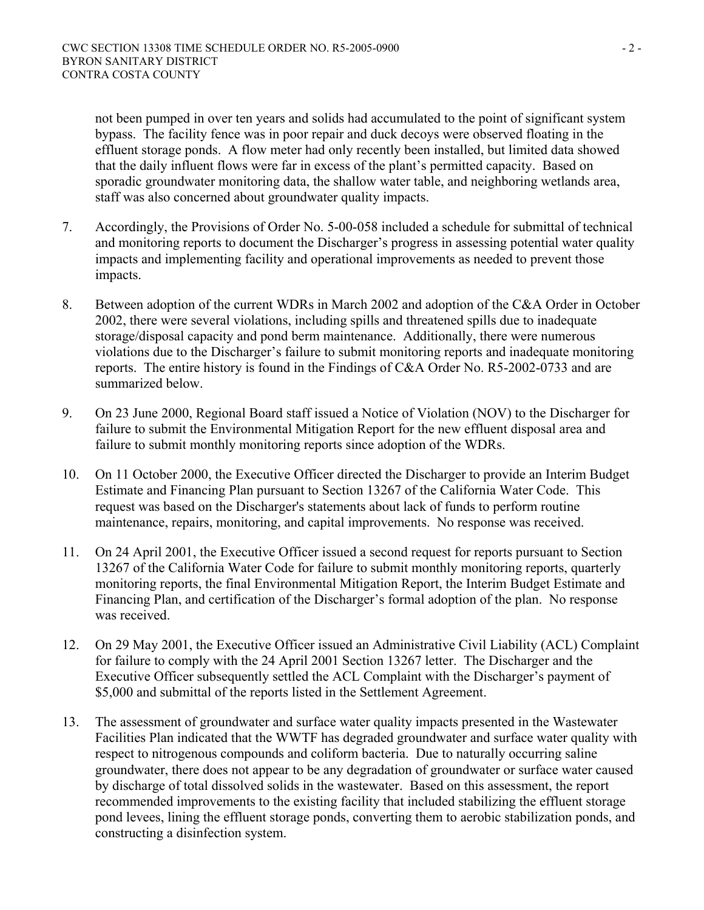not been pumped in over ten years and solids had accumulated to the point of significant system bypass. The facility fence was in poor repair and duck decoys were observed floating in the effluent storage ponds. A flow meter had only recently been installed, but limited data showed that the daily influent flows were far in excess of the plant's permitted capacity. Based on sporadic groundwater monitoring data, the shallow water table, and neighboring wetlands area, staff was also concerned about groundwater quality impacts.

- 7. Accordingly, the Provisions of Order No. 5-00-058 included a schedule for submittal of technical and monitoring reports to document the Discharger's progress in assessing potential water quality impacts and implementing facility and operational improvements as needed to prevent those impacts.
- 8. Between adoption of the current WDRs in March 2002 and adoption of the C&A Order in October 2002, there were several violations, including spills and threatened spills due to inadequate storage/disposal capacity and pond berm maintenance. Additionally, there were numerous violations due to the Discharger's failure to submit monitoring reports and inadequate monitoring reports. The entire history is found in the Findings of C&A Order No. R5-2002-0733 and are summarized below.
- 9. On 23 June 2000, Regional Board staff issued a Notice of Violation (NOV) to the Discharger for failure to submit the Environmental Mitigation Report for the new effluent disposal area and failure to submit monthly monitoring reports since adoption of the WDRs.
- 10. On 11 October 2000, the Executive Officer directed the Discharger to provide an Interim Budget Estimate and Financing Plan pursuant to Section 13267 of the California Water Code. This request was based on the Discharger's statements about lack of funds to perform routine maintenance, repairs, monitoring, and capital improvements. No response was received.
- 11. On 24 April 2001, the Executive Officer issued a second request for reports pursuant to Section 13267 of the California Water Code for failure to submit monthly monitoring reports, quarterly monitoring reports, the final Environmental Mitigation Report, the Interim Budget Estimate and Financing Plan, and certification of the Discharger's formal adoption of the plan. No response was received.
- 12. On 29 May 2001, the Executive Officer issued an Administrative Civil Liability (ACL) Complaint for failure to comply with the 24 April 2001 Section 13267 letter. The Discharger and the Executive Officer subsequently settled the ACL Complaint with the Discharger's payment of \$5,000 and submittal of the reports listed in the Settlement Agreement.
- 13. The assessment of groundwater and surface water quality impacts presented in the Wastewater Facilities Plan indicated that the WWTF has degraded groundwater and surface water quality with respect to nitrogenous compounds and coliform bacteria. Due to naturally occurring saline groundwater, there does not appear to be any degradation of groundwater or surface water caused by discharge of total dissolved solids in the wastewater. Based on this assessment, the report recommended improvements to the existing facility that included stabilizing the effluent storage pond levees, lining the effluent storage ponds, converting them to aerobic stabilization ponds, and constructing a disinfection system.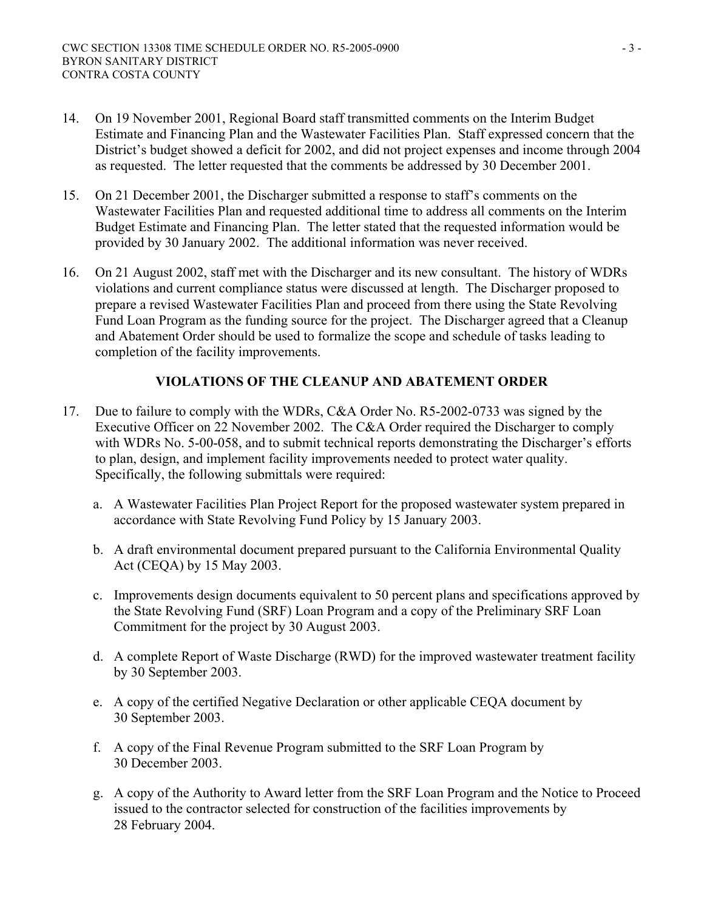- 14. On 19 November 2001, Regional Board staff transmitted comments on the Interim Budget Estimate and Financing Plan and the Wastewater Facilities Plan. Staff expressed concern that the District's budget showed a deficit for 2002, and did not project expenses and income through 2004 as requested. The letter requested that the comments be addressed by 30 December 2001.
- 15. On 21 December 2001, the Discharger submitted a response to staff's comments on the Wastewater Facilities Plan and requested additional time to address all comments on the Interim Budget Estimate and Financing Plan. The letter stated that the requested information would be provided by 30 January 2002. The additional information was never received.
- 16. On 21 August 2002, staff met with the Discharger and its new consultant. The history of WDRs violations and current compliance status were discussed at length. The Discharger proposed to prepare a revised Wastewater Facilities Plan and proceed from there using the State Revolving Fund Loan Program as the funding source for the project. The Discharger agreed that a Cleanup and Abatement Order should be used to formalize the scope and schedule of tasks leading to completion of the facility improvements.

# **VIOLATIONS OF THE CLEANUP AND ABATEMENT ORDER**

- 17. Due to failure to comply with the WDRs, C&A Order No. R5-2002-0733 was signed by the Executive Officer on 22 November 2002. The C&A Order required the Discharger to comply with WDRs No. 5-00-058, and to submit technical reports demonstrating the Discharger's efforts to plan, design, and implement facility improvements needed to protect water quality. Specifically, the following submittals were required:
	- a. A Wastewater Facilities Plan Project Report for the proposed wastewater system prepared in accordance with State Revolving Fund Policy by 15 January 2003.
	- b. A draft environmental document prepared pursuant to the California Environmental Quality Act (CEQA) by 15 May 2003.
	- c. Improvements design documents equivalent to 50 percent plans and specifications approved by the State Revolving Fund (SRF) Loan Program and a copy of the Preliminary SRF Loan Commitment for the project by 30 August 2003.
	- d. A complete Report of Waste Discharge (RWD) for the improved wastewater treatment facility by 30 September 2003.
	- e. A copy of the certified Negative Declaration or other applicable CEQA document by 30 September 2003.
	- f. A copy of the Final Revenue Program submitted to the SRF Loan Program by 30 December 2003.
	- g. A copy of the Authority to Award letter from the SRF Loan Program and the Notice to Proceed issued to the contractor selected for construction of the facilities improvements by 28 February 2004.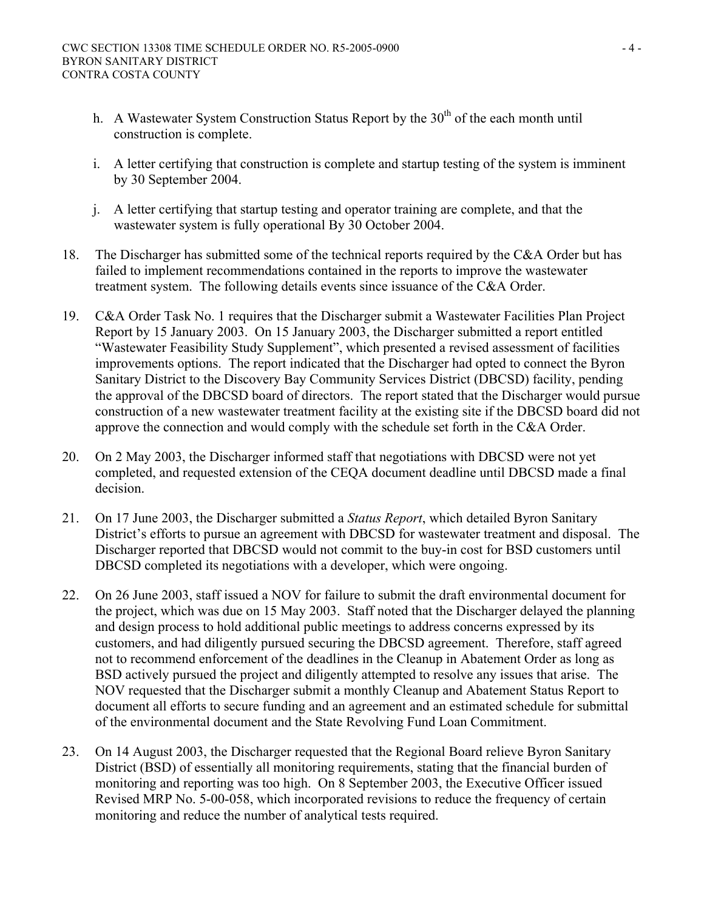- h. A Wastewater System Construction Status Report by the 30<sup>th</sup> of the each month until construction is complete.
- i. A letter certifying that construction is complete and startup testing of the system is imminent by 30 September 2004.
- j. A letter certifying that startup testing and operator training are complete, and that the wastewater system is fully operational By 30 October 2004.
- 18. The Discharger has submitted some of the technical reports required by the C&A Order but has failed to implement recommendations contained in the reports to improve the wastewater treatment system. The following details events since issuance of the C&A Order.
- 19. C&A Order Task No. 1 requires that the Discharger submit a Wastewater Facilities Plan Project Report by 15 January 2003. On 15 January 2003, the Discharger submitted a report entitled "Wastewater Feasibility Study Supplement", which presented a revised assessment of facilities improvements options. The report indicated that the Discharger had opted to connect the Byron Sanitary District to the Discovery Bay Community Services District (DBCSD) facility, pending the approval of the DBCSD board of directors. The report stated that the Discharger would pursue construction of a new wastewater treatment facility at the existing site if the DBCSD board did not approve the connection and would comply with the schedule set forth in the C&A Order.
- 20. On 2 May 2003, the Discharger informed staff that negotiations with DBCSD were not yet completed, and requested extension of the CEQA document deadline until DBCSD made a final decision.
- 21. On 17 June 2003, the Discharger submitted a *Status Report*, which detailed Byron Sanitary District's efforts to pursue an agreement with DBCSD for wastewater treatment and disposal. The Discharger reported that DBCSD would not commit to the buy-in cost for BSD customers until DBCSD completed its negotiations with a developer, which were ongoing.
- 22. On 26 June 2003, staff issued a NOV for failure to submit the draft environmental document for the project, which was due on 15 May 2003. Staff noted that the Discharger delayed the planning and design process to hold additional public meetings to address concerns expressed by its customers, and had diligently pursued securing the DBCSD agreement. Therefore, staff agreed not to recommend enforcement of the deadlines in the Cleanup in Abatement Order as long as BSD actively pursued the project and diligently attempted to resolve any issues that arise. The NOV requested that the Discharger submit a monthly Cleanup and Abatement Status Report to document all efforts to secure funding and an agreement and an estimated schedule for submittal of the environmental document and the State Revolving Fund Loan Commitment.
- 23. On 14 August 2003, the Discharger requested that the Regional Board relieve Byron Sanitary District (BSD) of essentially all monitoring requirements, stating that the financial burden of monitoring and reporting was too high. On 8 September 2003, the Executive Officer issued Revised MRP No. 5-00-058, which incorporated revisions to reduce the frequency of certain monitoring and reduce the number of analytical tests required.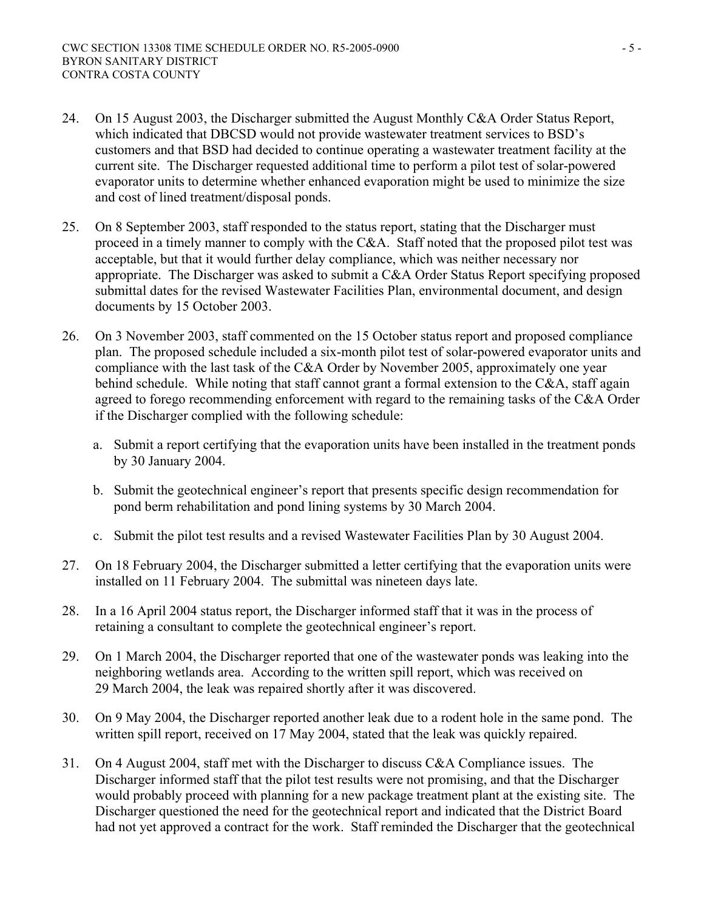- 24. On 15 August 2003, the Discharger submitted the August Monthly C&A Order Status Report, which indicated that DBCSD would not provide wastewater treatment services to BSD's customers and that BSD had decided to continue operating a wastewater treatment facility at the current site. The Discharger requested additional time to perform a pilot test of solar-powered evaporator units to determine whether enhanced evaporation might be used to minimize the size and cost of lined treatment/disposal ponds.
- 25. On 8 September 2003, staff responded to the status report, stating that the Discharger must proceed in a timely manner to comply with the C&A. Staff noted that the proposed pilot test was acceptable, but that it would further delay compliance, which was neither necessary nor appropriate. The Discharger was asked to submit a C&A Order Status Report specifying proposed submittal dates for the revised Wastewater Facilities Plan, environmental document, and design documents by 15 October 2003.
- 26. On 3 November 2003, staff commented on the 15 October status report and proposed compliance plan. The proposed schedule included a six-month pilot test of solar-powered evaporator units and compliance with the last task of the C&A Order by November 2005, approximately one year behind schedule. While noting that staff cannot grant a formal extension to the C&A, staff again agreed to forego recommending enforcement with regard to the remaining tasks of the C&A Order if the Discharger complied with the following schedule:
	- a. Submit a report certifying that the evaporation units have been installed in the treatment ponds by 30 January 2004.
	- b. Submit the geotechnical engineer's report that presents specific design recommendation for pond berm rehabilitation and pond lining systems by 30 March 2004.
	- c. Submit the pilot test results and a revised Wastewater Facilities Plan by 30 August 2004.
- 27. On 18 February 2004, the Discharger submitted a letter certifying that the evaporation units were installed on 11 February 2004. The submittal was nineteen days late.
- 28. In a 16 April 2004 status report, the Discharger informed staff that it was in the process of retaining a consultant to complete the geotechnical engineer's report.
- 29. On 1 March 2004, the Discharger reported that one of the wastewater ponds was leaking into the neighboring wetlands area. According to the written spill report, which was received on 29 March 2004, the leak was repaired shortly after it was discovered.
- 30. On 9 May 2004, the Discharger reported another leak due to a rodent hole in the same pond. The written spill report, received on 17 May 2004, stated that the leak was quickly repaired.
- 31. On 4 August 2004, staff met with the Discharger to discuss C&A Compliance issues. The Discharger informed staff that the pilot test results were not promising, and that the Discharger would probably proceed with planning for a new package treatment plant at the existing site. The Discharger questioned the need for the geotechnical report and indicated that the District Board had not yet approved a contract for the work. Staff reminded the Discharger that the geotechnical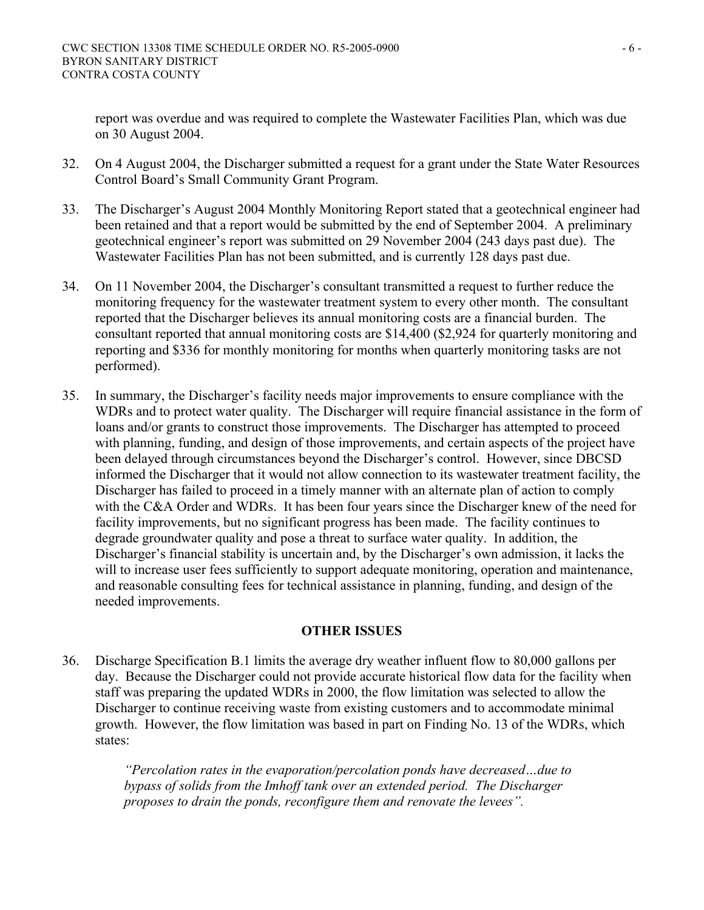report was overdue and was required to complete the Wastewater Facilities Plan, which was due on 30 August 2004.

- 32. On 4 August 2004, the Discharger submitted a request for a grant under the State Water Resources Control Board's Small Community Grant Program.
- 33. The Discharger's August 2004 Monthly Monitoring Report stated that a geotechnical engineer had been retained and that a report would be submitted by the end of September 2004. A preliminary geotechnical engineer's report was submitted on 29 November 2004 (243 days past due). The Wastewater Facilities Plan has not been submitted, and is currently 128 days past due.
- 34. On 11 November 2004, the Discharger's consultant transmitted a request to further reduce the monitoring frequency for the wastewater treatment system to every other month. The consultant reported that the Discharger believes its annual monitoring costs are a financial burden. The consultant reported that annual monitoring costs are \$14,400 (\$2,924 for quarterly monitoring and reporting and \$336 for monthly monitoring for months when quarterly monitoring tasks are not performed).
- 35. In summary, the Discharger's facility needs major improvements to ensure compliance with the WDRs and to protect water quality. The Discharger will require financial assistance in the form of loans and/or grants to construct those improvements. The Discharger has attempted to proceed with planning, funding, and design of those improvements, and certain aspects of the project have been delayed through circumstances beyond the Discharger's control. However, since DBCSD informed the Discharger that it would not allow connection to its wastewater treatment facility, the Discharger has failed to proceed in a timely manner with an alternate plan of action to comply with the C&A Order and WDRs. It has been four years since the Discharger knew of the need for facility improvements, but no significant progress has been made. The facility continues to degrade groundwater quality and pose a threat to surface water quality. In addition, the Discharger's financial stability is uncertain and, by the Discharger's own admission, it lacks the will to increase user fees sufficiently to support adequate monitoring, operation and maintenance, and reasonable consulting fees for technical assistance in planning, funding, and design of the needed improvements.

# **OTHER ISSUES**

36. Discharge Specification B.1 limits the average dry weather influent flow to 80,000 gallons per day. Because the Discharger could not provide accurate historical flow data for the facility when staff was preparing the updated WDRs in 2000, the flow limitation was selected to allow the Discharger to continue receiving waste from existing customers and to accommodate minimal growth. However, the flow limitation was based in part on Finding No. 13 of the WDRs, which states:

> *"Percolation rates in the evaporation/percolation ponds have decreased…due to bypass of solids from the Imhoff tank over an extended period. The Discharger proposes to drain the ponds, reconfigure them and renovate the levees".*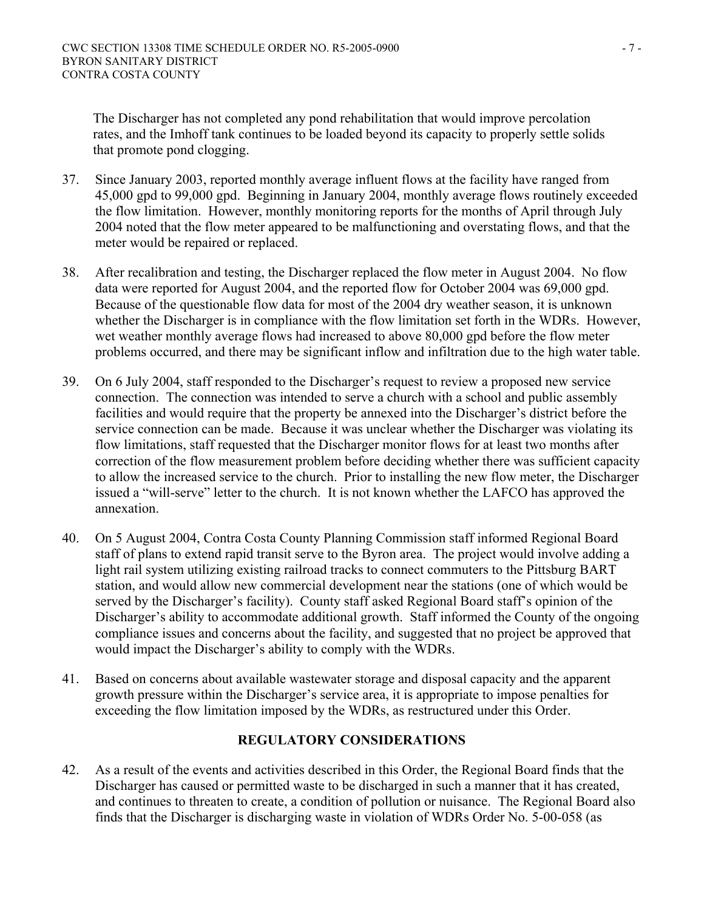The Discharger has not completed any pond rehabilitation that would improve percolation rates, and the Imhoff tank continues to be loaded beyond its capacity to properly settle solids that promote pond clogging.

- 37. Since January 2003, reported monthly average influent flows at the facility have ranged from 45,000 gpd to 99,000 gpd. Beginning in January 2004, monthly average flows routinely exceeded the flow limitation. However, monthly monitoring reports for the months of April through July 2004 noted that the flow meter appeared to be malfunctioning and overstating flows, and that the meter would be repaired or replaced.
- 38. After recalibration and testing, the Discharger replaced the flow meter in August 2004. No flow data were reported for August 2004, and the reported flow for October 2004 was 69,000 gpd. Because of the questionable flow data for most of the 2004 dry weather season, it is unknown whether the Discharger is in compliance with the flow limitation set forth in the WDRs. However, wet weather monthly average flows had increased to above 80,000 gpd before the flow meter problems occurred, and there may be significant inflow and infiltration due to the high water table.
- 39. On 6 July 2004, staff responded to the Discharger's request to review a proposed new service connection. The connection was intended to serve a church with a school and public assembly facilities and would require that the property be annexed into the Discharger's district before the service connection can be made. Because it was unclear whether the Discharger was violating its flow limitations, staff requested that the Discharger monitor flows for at least two months after correction of the flow measurement problem before deciding whether there was sufficient capacity to allow the increased service to the church. Prior to installing the new flow meter, the Discharger issued a "will-serve" letter to the church. It is not known whether the LAFCO has approved the annexation.
- 40. On 5 August 2004, Contra Costa County Planning Commission staff informed Regional Board staff of plans to extend rapid transit serve to the Byron area. The project would involve adding a light rail system utilizing existing railroad tracks to connect commuters to the Pittsburg BART station, and would allow new commercial development near the stations (one of which would be served by the Discharger's facility). County staff asked Regional Board staff's opinion of the Discharger's ability to accommodate additional growth. Staff informed the County of the ongoing compliance issues and concerns about the facility, and suggested that no project be approved that would impact the Discharger's ability to comply with the WDRs.
- 41. Based on concerns about available wastewater storage and disposal capacity and the apparent growth pressure within the Discharger's service area, it is appropriate to impose penalties for exceeding the flow limitation imposed by the WDRs, as restructured under this Order.

# **REGULATORY CONSIDERATIONS**

42. As a result of the events and activities described in this Order, the Regional Board finds that the Discharger has caused or permitted waste to be discharged in such a manner that it has created, and continues to threaten to create, a condition of pollution or nuisance. The Regional Board also finds that the Discharger is discharging waste in violation of WDRs Order No. 5-00-058 (as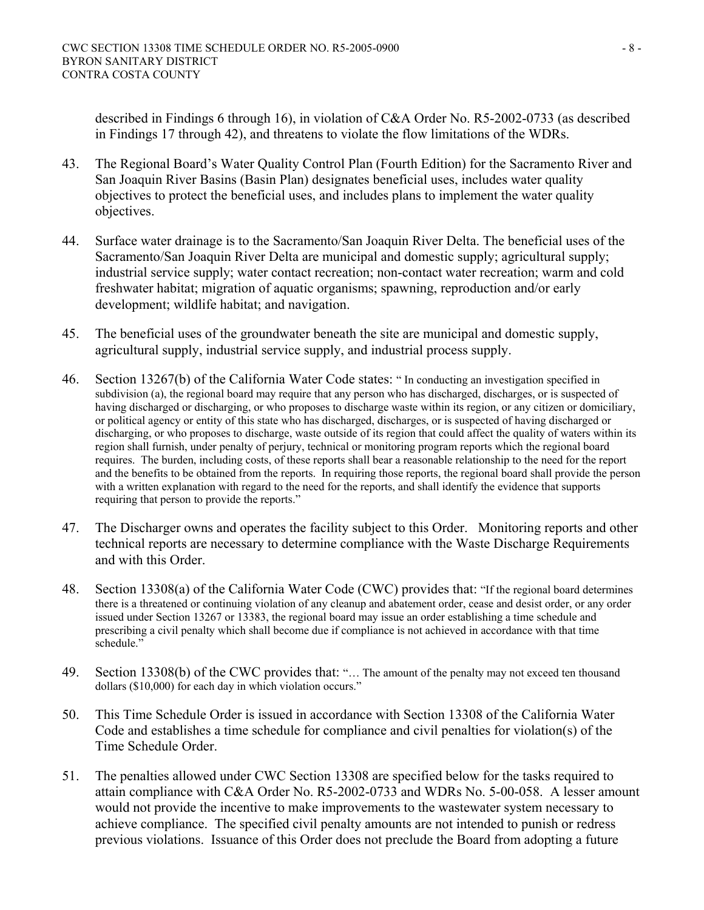described in Findings 6 through 16), in violation of C&A Order No. R5-2002-0733 (as described in Findings 17 through 42), and threatens to violate the flow limitations of the WDRs.

- 43. The Regional Board's Water Quality Control Plan (Fourth Edition) for the Sacramento River and San Joaquin River Basins (Basin Plan) designates beneficial uses, includes water quality objectives to protect the beneficial uses, and includes plans to implement the water quality objectives.
- 44. Surface water drainage is to the Sacramento/San Joaquin River Delta. The beneficial uses of the Sacramento/San Joaquin River Delta are municipal and domestic supply; agricultural supply; industrial service supply; water contact recreation; non-contact water recreation; warm and cold freshwater habitat; migration of aquatic organisms; spawning, reproduction and/or early development; wildlife habitat; and navigation.
- 45. The beneficial uses of the groundwater beneath the site are municipal and domestic supply, agricultural supply, industrial service supply, and industrial process supply.
- 46. Section 13267(b) of the California Water Code states: " In conducting an investigation specified in subdivision (a), the regional board may require that any person who has discharged, discharges, or is suspected of having discharged or discharging, or who proposes to discharge waste within its region, or any citizen or domiciliary, or political agency or entity of this state who has discharged, discharges, or is suspected of having discharged or discharging, or who proposes to discharge, waste outside of its region that could affect the quality of waters within its region shall furnish, under penalty of perjury, technical or monitoring program reports which the regional board requires. The burden, including costs, of these reports shall bear a reasonable relationship to the need for the report and the benefits to be obtained from the reports. In requiring those reports, the regional board shall provide the person with a written explanation with regard to the need for the reports, and shall identify the evidence that supports requiring that person to provide the reports."
- 47. The Discharger owns and operates the facility subject to this Order. Monitoring reports and other technical reports are necessary to determine compliance with the Waste Discharge Requirements and with this Order.
- 48. Section 13308(a) of the California Water Code (CWC) provides that: "If the regional board determines there is a threatened or continuing violation of any cleanup and abatement order, cease and desist order, or any order issued under Section 13267 or 13383, the regional board may issue an order establishing a time schedule and prescribing a civil penalty which shall become due if compliance is not achieved in accordance with that time schedule."
- 49. Section 13308(b) of the CWC provides that: "… The amount of the penalty may not exceed ten thousand dollars (\$10,000) for each day in which violation occurs."
- 50. This Time Schedule Order is issued in accordance with Section 13308 of the California Water Code and establishes a time schedule for compliance and civil penalties for violation(s) of the Time Schedule Order.
- 51. The penalties allowed under CWC Section 13308 are specified below for the tasks required to attain compliance with C&A Order No. R5-2002-0733 and WDRs No. 5-00-058. A lesser amount would not provide the incentive to make improvements to the wastewater system necessary to achieve compliance. The specified civil penalty amounts are not intended to punish or redress previous violations. Issuance of this Order does not preclude the Board from adopting a future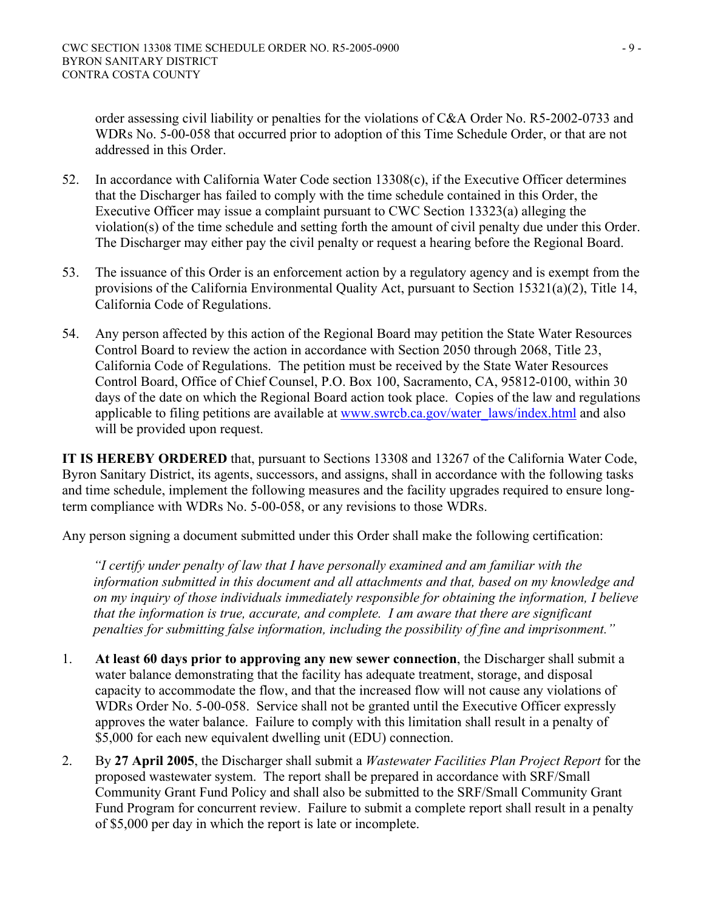order assessing civil liability or penalties for the violations of C&A Order No. R5-2002-0733 and WDRs No. 5-00-058 that occurred prior to adoption of this Time Schedule Order, or that are not addressed in this Order.

- 52. In accordance with California Water Code section 13308(c), if the Executive Officer determines that the Discharger has failed to comply with the time schedule contained in this Order, the Executive Officer may issue a complaint pursuant to CWC Section 13323(a) alleging the violation(s) of the time schedule and setting forth the amount of civil penalty due under this Order. The Discharger may either pay the civil penalty or request a hearing before the Regional Board.
- 53. The issuance of this Order is an enforcement action by a regulatory agency and is exempt from the provisions of the California Environmental Quality Act, pursuant to Section 15321(a)(2), Title 14, California Code of Regulations.
- 54. Any person affected by this action of the Regional Board may petition the State Water Resources Control Board to review the action in accordance with Section 2050 through 2068, Title 23, California Code of Regulations. The petition must be received by the State Water Resources Control Board, Office of Chief Counsel, P.O. Box 100, Sacramento, CA, 95812-0100, within 30 days of the date on which the Regional Board action took place. Copies of the law and regulations applicable to filing petitions are available at www.swrcb.ca.gov/water\_laws/index.html and also will be provided upon request.

**IT IS HEREBY ORDERED** that, pursuant to Sections 13308 and 13267 of the California Water Code, Byron Sanitary District, its agents, successors, and assigns, shall in accordance with the following tasks and time schedule, implement the following measures and the facility upgrades required to ensure longterm compliance with WDRs No. 5-00-058, or any revisions to those WDRs.

Any person signing a document submitted under this Order shall make the following certification:

*"I certify under penalty of law that I have personally examined and am familiar with the information submitted in this document and all attachments and that, based on my knowledge and on my inquiry of those individuals immediately responsible for obtaining the information, I believe that the information is true, accurate, and complete. I am aware that there are significant penalties for submitting false information, including the possibility of fine and imprisonment."* 

- 1. **At least 60 days prior to approving any new sewer connection**, the Discharger shall submit a water balance demonstrating that the facility has adequate treatment, storage, and disposal capacity to accommodate the flow, and that the increased flow will not cause any violations of WDRs Order No. 5-00-058. Service shall not be granted until the Executive Officer expressly approves the water balance. Failure to comply with this limitation shall result in a penalty of \$5,000 for each new equivalent dwelling unit (EDU) connection.
- 2. By **27 April 2005**, the Discharger shall submit a *Wastewater Facilities Plan Project Report* for the proposed wastewater system. The report shall be prepared in accordance with SRF/Small Community Grant Fund Policy and shall also be submitted to the SRF/Small Community Grant Fund Program for concurrent review. Failure to submit a complete report shall result in a penalty of \$5,000 per day in which the report is late or incomplete.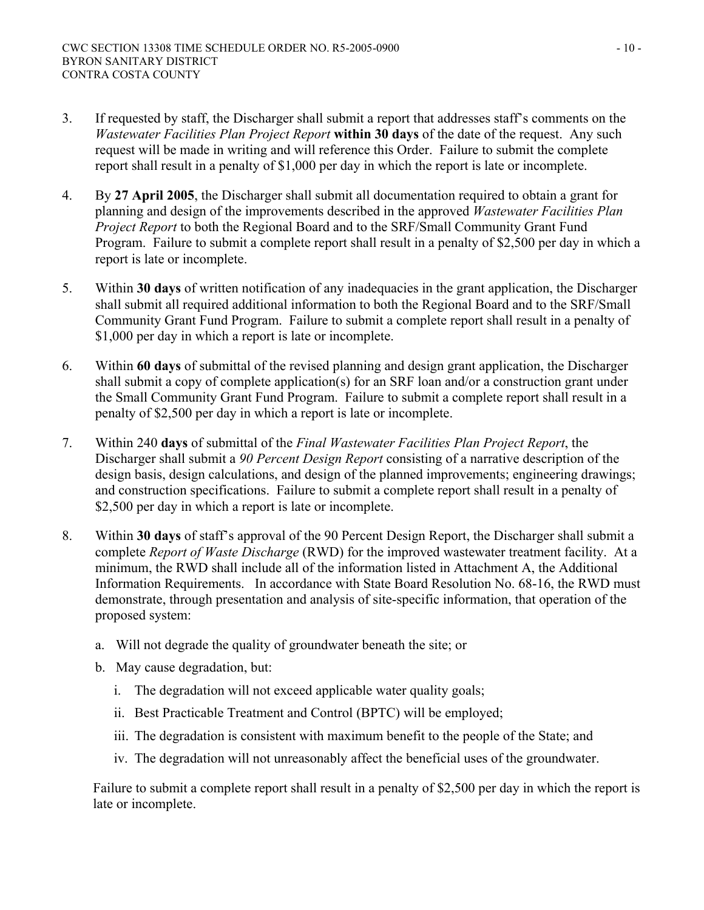- 3. If requested by staff, the Discharger shall submit a report that addresses staff's comments on the *Wastewater Facilities Plan Project Report* **within 30 days** of the date of the request. Any such request will be made in writing and will reference this Order. Failure to submit the complete report shall result in a penalty of \$1,000 per day in which the report is late or incomplete.
- 4. By **27 April 2005**, the Discharger shall submit all documentation required to obtain a grant for planning and design of the improvements described in the approved *Wastewater Facilities Plan Project Report* to both the Regional Board and to the SRF/Small Community Grant Fund Program. Failure to submit a complete report shall result in a penalty of \$2,500 per day in which a report is late or incomplete.
- 5. Within **30 days** of written notification of any inadequacies in the grant application, the Discharger shall submit all required additional information to both the Regional Board and to the SRF/Small Community Grant Fund Program. Failure to submit a complete report shall result in a penalty of \$1,000 per day in which a report is late or incomplete.
- 6. Within **60 days** of submittal of the revised planning and design grant application, the Discharger shall submit a copy of complete application(s) for an SRF loan and/or a construction grant under the Small Community Grant Fund Program. Failure to submit a complete report shall result in a penalty of \$2,500 per day in which a report is late or incomplete.
- 7. Within 240 **days** of submittal of the *Final Wastewater Facilities Plan Project Report*, the Discharger shall submit a *90 Percent Design Report* consisting of a narrative description of the design basis, design calculations, and design of the planned improvements; engineering drawings; and construction specifications. Failure to submit a complete report shall result in a penalty of \$2,500 per day in which a report is late or incomplete.
- 8. Within **30 days** of staff's approval of the 90 Percent Design Report, the Discharger shall submit a complete *Report of Waste Discharge* (RWD) for the improved wastewater treatment facility. At a minimum, the RWD shall include all of the information listed in Attachment A, the Additional Information Requirements. In accordance with State Board Resolution No. 68-16, the RWD must demonstrate, through presentation and analysis of site-specific information, that operation of the proposed system:
	- a. Will not degrade the quality of groundwater beneath the site; or
	- b. May cause degradation, but:
		- i. The degradation will not exceed applicable water quality goals;
		- ii. Best Practicable Treatment and Control (BPTC) will be employed;
		- iii. The degradation is consistent with maximum benefit to the people of the State; and
		- iv. The degradation will not unreasonably affect the beneficial uses of the groundwater.

Failure to submit a complete report shall result in a penalty of \$2,500 per day in which the report is late or incomplete.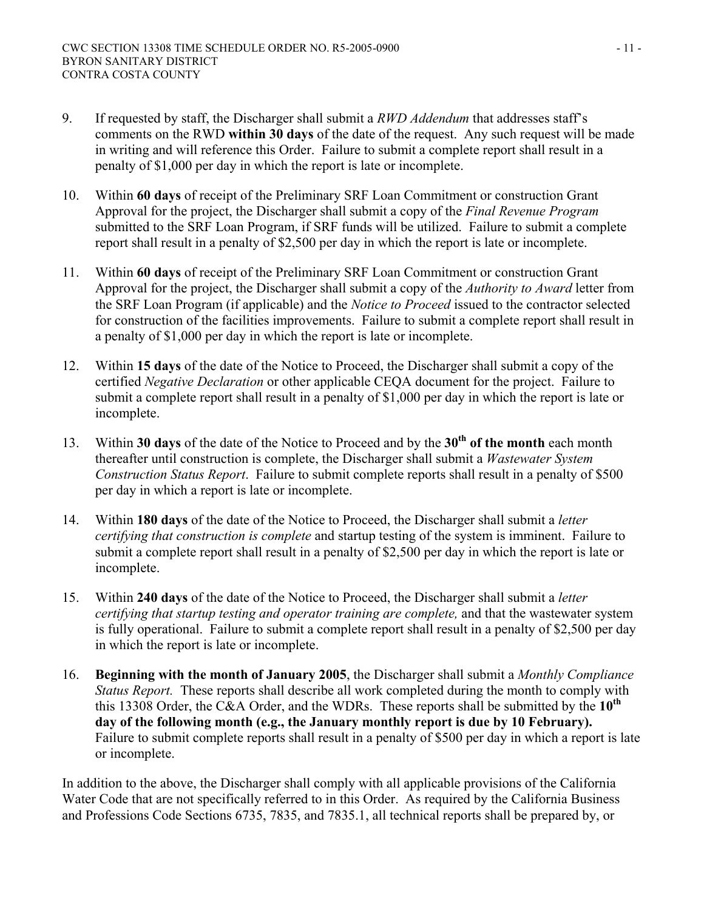- 9. If requested by staff, the Discharger shall submit a *RWD Addendum* that addresses staff's comments on the RWD **within 30 days** of the date of the request. Any such request will be made in writing and will reference this Order. Failure to submit a complete report shall result in a penalty of \$1,000 per day in which the report is late or incomplete.
- 10. Within **60 days** of receipt of the Preliminary SRF Loan Commitment or construction Grant Approval for the project, the Discharger shall submit a copy of the *Final Revenue Program* submitted to the SRF Loan Program, if SRF funds will be utilized. Failure to submit a complete report shall result in a penalty of \$2,500 per day in which the report is late or incomplete.
- 11. Within **60 days** of receipt of the Preliminary SRF Loan Commitment or construction Grant Approval for the project, the Discharger shall submit a copy of the *Authority to Award* letter from the SRF Loan Program (if applicable) and the *Notice to Proceed* issued to the contractor selected for construction of the facilities improvements. Failure to submit a complete report shall result in a penalty of \$1,000 per day in which the report is late or incomplete.
- 12. Within **15 days** of the date of the Notice to Proceed, the Discharger shall submit a copy of the certified *Negative Declaration* or other applicable CEQA document for the project. Failure to submit a complete report shall result in a penalty of \$1,000 per day in which the report is late or incomplete.
- 13. Within **30 days** of the date of the Notice to Proceed and by the **30th of the month** each month thereafter until construction is complete, the Discharger shall submit a *Wastewater System Construction Status Report*. Failure to submit complete reports shall result in a penalty of \$500 per day in which a report is late or incomplete.
- 14. Within **180 days** of the date of the Notice to Proceed, the Discharger shall submit a *letter certifying that construction is complete* and startup testing of the system is imminent. Failure to submit a complete report shall result in a penalty of \$2,500 per day in which the report is late or incomplete.
- 15. Within **240 days** of the date of the Notice to Proceed, the Discharger shall submit a *letter certifying that startup testing and operator training are complete,* and that the wastewater system is fully operational. Failure to submit a complete report shall result in a penalty of \$2,500 per day in which the report is late or incomplete.
- 16. **Beginning with the month of January 2005**, the Discharger shall submit a *Monthly Compliance Status Report.* These reports shall describe all work completed during the month to comply with this 13308 Order, the C&A Order, and the WDRs. These reports shall be submitted by the **10th day of the following month (e.g., the January monthly report is due by 10 February).**  Failure to submit complete reports shall result in a penalty of \$500 per day in which a report is late or incomplete.

In addition to the above, the Discharger shall comply with all applicable provisions of the California Water Code that are not specifically referred to in this Order. As required by the California Business and Professions Code Sections 6735, 7835, and 7835.1, all technical reports shall be prepared by, or